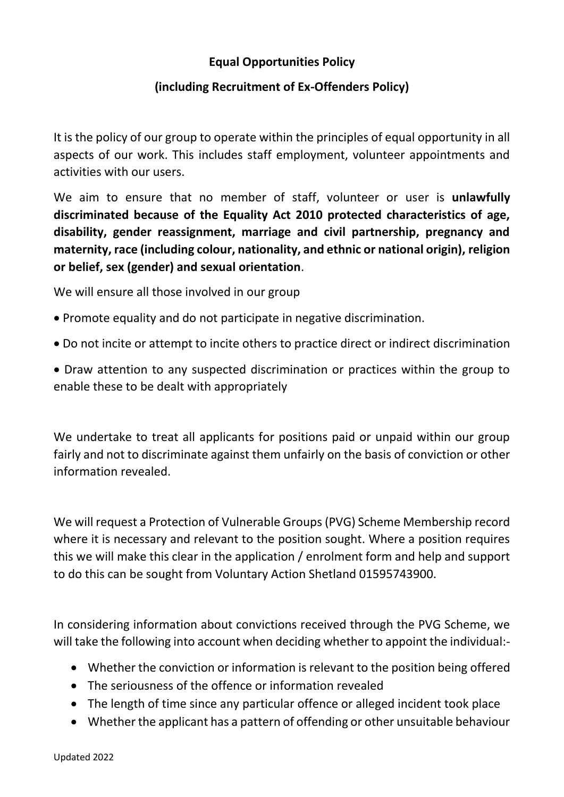## **Equal Opportunities Policy**

## **(including Recruitment of Ex-Offenders Policy)**

It is the policy of our group to operate within the principles of equal opportunity in all aspects of our work. This includes staff employment, volunteer appointments and activities with our users.

We aim to ensure that no member of staff, volunteer or user is **unlawfully discriminated because of the Equality Act 2010 protected characteristics of age, disability, gender reassignment, marriage and civil partnership, pregnancy and maternity, race (including colour, nationality, and ethnic or national origin), religion or belief, sex (gender) and sexual orientation**.

We will ensure all those involved in our group

- Promote equality and do not participate in negative discrimination.
- Do not incite or attempt to incite others to practice direct or indirect discrimination
- Draw attention to any suspected discrimination or practices within the group to enable these to be dealt with appropriately

We undertake to treat all applicants for positions paid or unpaid within our group fairly and not to discriminate against them unfairly on the basis of conviction or other information revealed.

We will request a Protection of Vulnerable Groups (PVG) Scheme Membership record where it is necessary and relevant to the position sought. Where a position requires this we will make this clear in the application / enrolment form and help and support to do this can be sought from Voluntary Action Shetland 01595743900.

In considering information about convictions received through the PVG Scheme, we will take the following into account when deciding whether to appoint the individual:-

- Whether the conviction or information is relevant to the position being offered
- The seriousness of the offence or information revealed
- The length of time since any particular offence or alleged incident took place
- Whether the applicant has a pattern of offending or other unsuitable behaviour